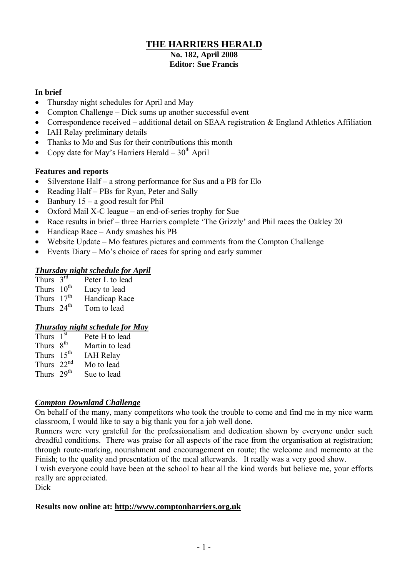## **THE HARRIERS HERALD No. 182, April 2008 Editor: Sue Francis**

#### **In brief**

- Thursday night schedules for April and May
- Compton Challenge Dick sums up another successful event
- Correspondence received additional detail on SEAA registration & England Athletics Affiliation
- IAH Relay preliminary details
- Thanks to Mo and Sus for their contributions this month
- Copy date for May's Harriers Herald  $30<sup>th</sup>$  April

## **Features and reports**

- Silverstone Half a strong performance for Sus and a PB for Elo
- Reading Half PBs for Ryan, Peter and Sally
- $\bullet$  Banbury 15 a good result for Phil
- Oxford Mail X-C league an end-of-series trophy for Sue
- Race results in brief three Harriers complete 'The Grizzly' and Phil races the Oakley 20
- Handicap Race Andy smashes his PB
- Website Update Mo features pictures and comments from the Compton Challenge
- Events Diary Mo's choice of races for spring and early summer

#### *Thursday night schedule for April*

| Thurs $3^{\overline{rd}}$ | Peter L to lead |
|---------------------------|-----------------|
| Thurs 10 <sup>th</sup>    | Lucy to lead    |
| Thurs $17th$              | Handicap Race   |
| Thurs $24th$              | Tom to lead     |

## *Thursday night schedule for May*

| Thurs $1st$            | Pete H to lead   |
|------------------------|------------------|
| Thurs 8 <sup>th</sup>  | Martin to lead   |
| Thurs 15 <sup>th</sup> | <b>IAH Relay</b> |
| Thurs $22nd$           | Mo to lead       |
| Thurs 29 <sup>th</sup> | Sue to lead      |

#### *Compton Downland Challenge*

On behalf of the many, many competitors who took the trouble to come and find me in my nice warm classroom, I would like to say a big thank you for a job well done.

Runners were very grateful for the professionalism and dedication shown by everyone under such dreadful conditions. There was praise for all aspects of the race from the organisation at registration; through route-marking, nourishment and encouragement en route; the welcome and memento at the Finish; to the quality and presentation of the meal afterwards. It really was a very good show.

I wish everyone could have been at the school to hear all the kind words but believe me, your efforts really are appreciated.

Dick

#### **Results now online at: http://www.comptonharriers.org.uk**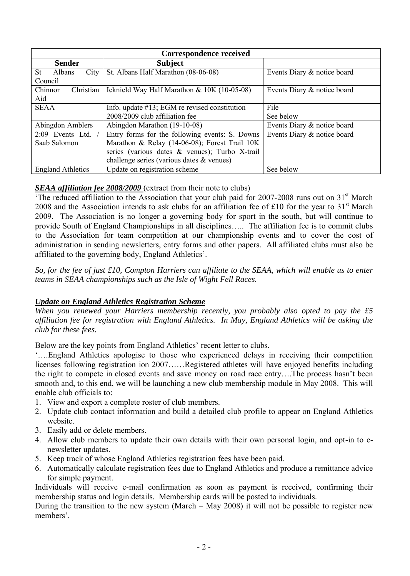| Correspondence received                                   |                                                   |                             |  |  |  |  |
|-----------------------------------------------------------|---------------------------------------------------|-----------------------------|--|--|--|--|
| <b>Sender</b>                                             | <b>Subject</b>                                    |                             |  |  |  |  |
| $City$  <br>St<br>Albans                                  | St. Albans Half Marathon (08-06-08)               | Events Diary & notice board |  |  |  |  |
| Council                                                   |                                                   |                             |  |  |  |  |
| Chinnor<br>Christian                                      | Icknield Way Half Marathon & 10K (10-05-08)       | Events Diary & notice board |  |  |  |  |
| Aid                                                       |                                                   |                             |  |  |  |  |
| <b>SEAA</b>                                               | Info. update $\#13$ ; EGM re revised constitution | File                        |  |  |  |  |
|                                                           | 2008/2009 club affiliation fee                    | See below                   |  |  |  |  |
| Abingdon Amblers                                          | Abingdon Marathon (19-10-08)                      | Events Diary & notice board |  |  |  |  |
| $2:09$ Events Ltd.                                        | Entry forms for the following events: S. Downs    | Events Diary & notice board |  |  |  |  |
| Saab Salomon                                              | Marathon & Relay (14-06-08); Forest Trail 10K     |                             |  |  |  |  |
|                                                           | series (various dates & venues); Turbo X-trail    |                             |  |  |  |  |
| challenge series (various dates $&$ venues)               |                                                   |                             |  |  |  |  |
| Update on registration scheme<br><b>England Athletics</b> |                                                   | See below                   |  |  |  |  |

## *SEAA affiliation fee 2008/2009* (extract from their note to clubs)

'The reduced affiliation to the Association that your club paid for 2007-2008 runs out on  $31<sup>st</sup>$  March 2008 and the Association intends to ask clubs for an affiliation fee of £10 for the year to  $31<sup>st</sup>$  March 2009. The Association is no longer a governing body for sport in the south, but will continue to provide South of England Championships in all disciplines….. The affiliation fee is to commit clubs to the Association for team competition at our championship events and to cover the cost of administration in sending newsletters, entry forms and other papers. All affiliated clubs must also be affiliated to the governing body, England Athletics'.

*So, for the fee of just £10, Compton Harriers can affiliate to the SEAA, which will enable us to enter teams in SEAA championships such as the Isle of Wight Fell Races.*

## *Update on England Athletics Registration Scheme*

*When you renewed your Harriers membership recently, you probably also opted to pay the £5 affiliation fee for registration with England Athletics. In May, England Athletics will be asking the club for these fees.*

Below are the key points from England Athletics' recent letter to clubs.

'….England Athletics apologise to those who experienced delays in receiving their competition licenses following registration ion 2007……Registered athletes will have enjoyed benefits including the right to compete in closed events and save money on road race entry….The process hasn't been smooth and, to this end, we will be launching a new club membership module in May 2008. This will enable club officials to:

- 1. View and export a complete roster of club members.
- 2. Update club contact information and build a detailed club profile to appear on England Athletics website.
- 3. Easily add or delete members.
- 4. Allow club members to update their own details with their own personal login, and opt-in to enewsletter updates.
- 5. Keep track of whose England Athletics registration fees have been paid.
- 6. Automatically calculate registration fees due to England Athletics and produce a remittance advice for simple payment.

Individuals will receive e-mail confirmation as soon as payment is received, confirming their membership status and login details. Membership cards will be posted to individuals.

During the transition to the new system (March – May 2008) it will not be possible to register new members'.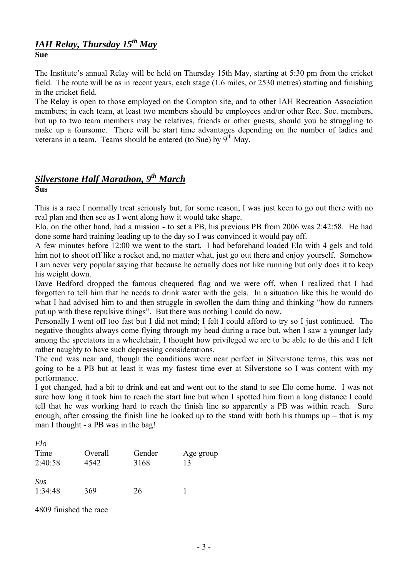#### *IAH Relay, Thursday 15th May* **Sue**

The Institute's annual Relay will be held on Thursday 15th May, starting at 5:30 pm from the cricket field. The route will be as in recent years, each stage (1.6 miles, or 2530 metres) starting and finishing in the cricket field.

The Relay is open to those employed on the Compton site, and to other IAH Recreation Association members; in each team, at least two members should be employees and/or other Rec. Soc. members, but up to two team members may be relatives, friends or other guests, should you be struggling to make up a foursome. There will be start time advantages depending on the number of ladies and veterans in a team. Teams should be entered (to Sue) by  $9^{th}$  May.

#### *Silverstone Half Marathon, 9 th March* **Sus**

This is a race I normally treat seriously but, for some reason, I was just keen to go out there with no real plan and then see as I went along how it would take shape.

Elo, on the other hand, had a mission - to set a PB, his previous PB from 2006 was 2:42:58. He had done some hard training leading up to the day so I was convinced it would pay off.

A few minutes before 12:00 we went to the start. I had beforehand loaded Elo with 4 gels and told him not to shoot off like a rocket and, no matter what, just go out there and enjoy yourself. Somehow I am never very popular saying that because he actually does not like running but only does it to keep his weight down.

Dave Bedford dropped the famous chequered flag and we were off, when I realized that I had forgotten to tell him that he needs to drink water with the gels. In a situation like this he would do what I had advised him to and then struggle in swollen the dam thing and thinking "how do runners" put up with these repulsive things". But there was nothing I could do now.

Personally I went off too fast but I did not mind; I felt I could afford to try so I just continued. The negative thoughts always come flying through my head during a race but, when I saw a younger lady among the spectators in a wheelchair, I thought how privileged we are to be able to do this and I felt rather naughty to have such depressing considerations.

The end was near and, though the conditions were near perfect in Silverstone terms, this was not going to be a PB but at least it was my fastest time ever at Silverstone so I was content with my performance.

I got changed, had a bit to drink and eat and went out to the stand to see Elo come home. I was not sure how long it took him to reach the start line but when I spotted him from a long distance I could tell that he was working hard to reach the finish line so apparently a PB was within reach. Sure enough, after crossing the finish line he looked up to the stand with both his thumps up – that is my man I thought - a PB was in the bag!

| Elo<br>Time<br>2:40:58 | Overall<br>4542 | Gender<br>3168 | Age group<br>13 |
|------------------------|-----------------|----------------|-----------------|
| Sus<br>1:34:48         | 369             | 26             |                 |

4809 finished the race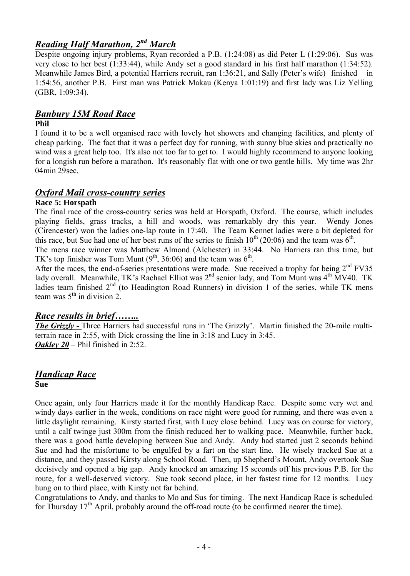# *Reading Half Marathon, 2 nd March*

Despite ongoing injury problems, Ryan recorded a P.B. (1:24:08) as did Peter L (1:29:06). Sus was very close to her best (1:33:44), while Andy set a good standard in his first half marathon (1:34:52). Meanwhile James Bird, a potential Harriers recruit, ran 1:36:21, and Sally (Peter's wife) finished in 1:54:56, another P.B. First man was Patrick Makau (Kenya 1:01:19) and first lady was Liz Yelling (GBR, 1:09:34).

## *Banbury 15M Road Race*

#### **Phil**

I found it to be a well organised race with lovely hot showers and changing facilities, and plenty of cheap parking. The fact that it was a perfect day for running, with sunny blue skies and practically no wind was a great help too. It's also not too far to get to. I would highly recommend to anyone looking for a longish run before a marathon. It's reasonably flat with one or two gentle hills. My time was 2hr 04min 29sec.

## *Oxford Mail cross-country series*

#### **Race 5: Horspath**

The final race of the cross-country series was held at Horspath, Oxford. The course, which includes playing fields, grass tracks, a hill and woods, was remarkably dry this year. Wendy Jones (Cirencester) won the ladies one-lap route in 17:40. The Team Kennet ladies were a bit depleted for this race, but Sue had one of her best runs of the series to finish  $10^{th}$  (20:06) and the team was  $6^{th}$ .

The mens race winner was Matthew Almond (Alchester) in 33:44. No Harriers ran this time, but TK's top finisher was Tom Munt  $(9<sup>th</sup>, 36:06)$  and the team was  $6<sup>th</sup>$ .

After the races, the end-of-series presentations were made. Sue received a trophy for being  $2<sup>nd</sup> FV35$ lady overall. Meanwhile, TK's Rachael Elliot was  $2<sup>nd</sup>$  senior lady, and Tom Munt was  $4<sup>th</sup>$  MV40. TK ladies team finished  $2<sup>nd</sup>$  (to Headington Road Runners) in division 1 of the series, while TK mens team was  $5^{\text{th}}$  in division 2.

## *Race results in brief……..*

*The Grizzly* - Three Harriers had successful runs in 'The Grizzly'. Martin finished the 20-mile multiterrain race in 2:55, with Dick crossing the line in 3:18 and Lucy in 3:45. *Oakley 20* – Phil finished in 2:52.

#### *Handicap Race* **Sue**

Once again, only four Harriers made it for the monthly Handicap Race. Despite some very wet and windy days earlier in the week, conditions on race night were good for running, and there was even a little daylight remaining. Kirsty started first, with Lucy close behind. Lucy was on course for victory, until a calf twinge just 300m from the finish reduced her to walking pace. Meanwhile, further back, there was a good battle developing between Sue and Andy. Andy had started just 2 seconds behind Sue and had the misfortune to be engulfed by a fart on the start line. He wisely tracked Sue at a distance, and they passed Kirsty along School Road. Then, up Shepherd's Mount, Andy overtook Sue decisively and opened a big gap. Andy knocked an amazing 15 seconds off his previous P.B. for the route, for a well-deserved victory. Sue took second place, in her fastest time for 12 months. Lucy hung on to third place, with Kirsty not far behind.

Congratulations to Andy, and thanks to Mo and Sus for timing. The next Handicap Race is scheduled for Thursday  $17<sup>th</sup>$  April, probably around the off-road route (to be confirmed nearer the time).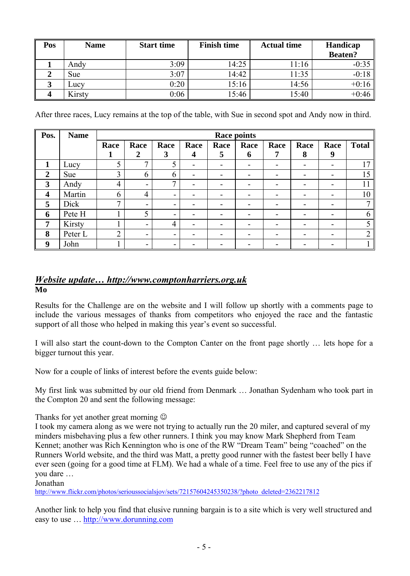| Pos | <b>Name</b> | <b>Start time</b> | <b>Finish time</b> | <b>Actual time</b> | Handicap<br><b>Beaten?</b> |
|-----|-------------|-------------------|--------------------|--------------------|----------------------------|
|     | Andy        | 3:09              | 14:25              | 11:16              | $-0:35$                    |
|     | <b>Sue</b>  | 3:07              | 14:42              | 1:35               | $-0:18$                    |
|     | LUCV        | 0:20              | 15:16              | 14:56              | $+0:16$                    |
|     | Kirsty      | 0:06              | 15:46              | 15:40              | $+0:46$                    |

After three races, Lucy remains at the top of the table, with Sue in second spot and Andy now in third.

| Pos.                    | <b>Name</b> | <b>Race points</b> |                          |                          |      |      |                          |                          |                          |      |                |
|-------------------------|-------------|--------------------|--------------------------|--------------------------|------|------|--------------------------|--------------------------|--------------------------|------|----------------|
|                         |             | Race               | Race                     | Race                     | Race | Race | Race                     | Race                     | Race                     | Race | <b>Total</b>   |
|                         |             | 1                  | $\boldsymbol{2}$         | 3                        | 4    | 5    | 6                        | 7                        | 8                        | 9    |                |
|                         | Lucy        | 5                  | 7                        | 5                        | -    | -    | ۰.                       | $\overline{\phantom{0}}$ | $\overline{\phantom{a}}$ | -    | 17             |
| $\overline{2}$          | Sue         | 3                  | 6                        | 6                        | -    | -    | -                        | $\blacksquare$           | $\overline{\phantom{0}}$ | -    | 15             |
| 3                       | Andy        | 4                  | $\overline{\phantom{0}}$ | 7                        | -    | -    | $\overline{\phantom{0}}$ | $\blacksquare$           | $\blacksquare$           | -    | 11             |
| $\overline{\mathbf{4}}$ | Martin      | 6                  | $\overline{4}$           | $\overline{\phantom{0}}$ | -    | -    | -                        | $\overline{\phantom{0}}$ | -                        | -    | 10             |
| 5                       | Dick        | $\mathbf{r}$       | $\overline{\phantom{0}}$ | ۰                        |      | -    | -                        | $\overline{\phantom{0}}$ | -                        |      | $\mathcal{I}$  |
| 6                       | Pete H      |                    | 5                        | $\overline{\phantom{0}}$ |      | -    |                          | $\blacksquare$           | $\overline{\phantom{a}}$ |      | 6              |
| 7                       | Kirsty      |                    | $\blacksquare$           | 4                        |      | -    | -                        | $\overline{\phantom{0}}$ | -                        |      | 5              |
| 8                       | Peter L     | $\overline{2}$     | $\blacksquare$           | $\overline{\phantom{0}}$ |      | -    | $\overline{\phantom{0}}$ | $\overline{\phantom{0}}$ | $\overline{\phantom{a}}$ |      | $\overline{2}$ |
| 9                       | John        |                    | $\overline{\phantom{0}}$ | ۰                        |      |      |                          | -                        |                          |      |                |

#### *Website update… http://www.comptonharriers.org.uk* **Mo**

Results for the Challenge are on the website and I will follow up shortly with a comments page to include the various messages of thanks from competitors who enjoyed the race and the fantastic support of all those who helped in making this year's event so successful.

I will also start the count-down to the Compton Canter on the front page shortly … lets hope for a bigger turnout this year.

Now for a couple of links of interest before the events guide below:

My first link was submitted by our old friend from Denmark … Jonathan Sydenham who took part in the Compton 20 and sent the following message:

Thanks for yet another great morning  $\odot$ 

I took my camera along as we were not trying to actually run the 20 miler, and captured several of my minders misbehaving plus a few other runners. I think you may know Mark Shepherd from Team Kennet; another was Rich Kennington who is one of the RW "Dream Team" being "coached" on the Runners World website, and the third was Matt, a pretty good runner with the fastest beer belly I have ever seen (going for a good time at FLM). We had a whale of a time. Feel free to use any of the pics if you dare …

Jonathan

[http://www.flickr.com/photos/serioussocialsjov/sets/72157604245350238/?photo\\_deleted=2362217812](http://www.flickr.com/photos/serioussocialsjov/sets/72157604245350238/?photo_deleted=2362217812)

Another link to help you find that elusive running bargain is to a site which is very well structured and easy to use … [http://www.dorunning.com](http://www.dorunning.com/)